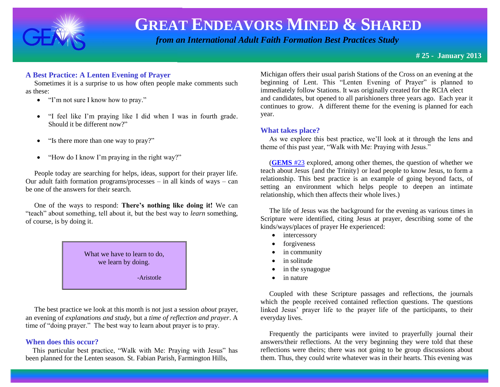

 *from an International Adult Faith Formation Best Practices Study*

**# 25 - January 2013**

### **A Best Practice: A Lenten Evening of Prayer**

 Sometimes it is a surprise to us how often people make comments such as these:

- "I'm not sure I know how to pray."
- "I feel like I'm praying like I did when I was in fourth grade. Should it be different now?"
- "Is there more than one way to pray?"
- "How do I know I'm praying in the right way?"

 People today are searching for helps, ideas, support for their prayer life. Our adult faith formation programs/processes – in all kinds of ways – can be one of the answers for their search.

 One of the ways to respond: **There's nothing like doing it!** We can "teach" about something, tell about it, but the best way to *learn* something, of course, is by doing it.

> What we have to learn to do, we learn by doing.

> > -Aristotle

 The best practice we look at this month is not just a session *about* prayer, an evening of *explanations and study*, but a *time of reflection and prayer*. A time of "doing prayer." The best way to learn about prayer is to pray.

### **When does this occur?**

 This particular best practice, "Walk with Me: Praying with Jesus" has been planned for the Lenten season. St. Fabian Parish, Farmington Hills,

Michigan offers their usual parish Stations of the Cross on an evening at the beginning of Lent. This "Lenten Evening of Prayer" is planned to immediately follow Stations. It was originally created for the RCIA elect and candidates, but opened to all parishioners three years ago. Each year it continues to grow. A different theme for the evening is planned for each year.

### **What takes place?**

 As we explore this best practice, we'll look at it through the lens and theme of this past year, "Walk with Me: Praying with Jesus."

 (**[GEMS](http://www.janetschaeffler.com/Best-Practices.html)** #23 explored, among other themes, the question of whether we teach about Jesus {and the Trinity} or lead people to know Jesus, to form a relationship. This best practice is an example of going beyond facts, of setting an environment which helps people to deepen an intimate relationship, which then affects their whole lives.)

 The life of Jesus was the background for the evening as various times in Scripture were identified, citing Jesus at prayer, describing some of the kinds/ways/places of prayer He experienced:

- intercessory
- forgiveness
- in community
- in solitude
- in the synagogue
- in nature

 Coupled with these Scripture passages and reflections, the journals which the people received contained reflection questions. The questions linked Jesus' prayer life to the prayer life of the participants, to their everyday lives.

 Frequently the participants were invited to prayerfully journal their answers/their reflections. At the very beginning they were told that these reflections were theirs; there was not going to be group discussions about them. Thus, they could write whatever was in their hearts. This evening was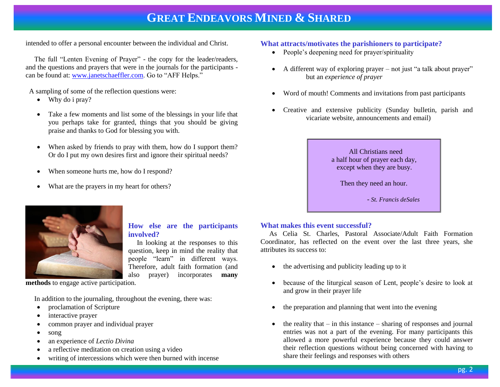intended to offer a personal encounter between the individual and Christ.

 The full "Lenten Evening of Prayer" - the copy for the leader/readers, and the questions and prayers that were in the journals for the participants can be found at: [www.janetschaeffler.com.](http://www.janetschaeffler.com/) Go to "AFF Helps."

A sampling of some of the reflection questions were:

- Why do i pray?
- Take a few moments and list some of the blessings in your life that you perhaps take for granted, things that you should be giving praise and thanks to God for blessing you with.
- When asked by friends to pray with them, how do I support them? Or do I put my own desires first and ignore their spiritual needs?
- When someone hurts me, how do I respond?
- What are the prayers in my heart for others?



- People's deepening need for prayer/spirituality
- A different way of exploring prayer not just "a talk about prayer" but an *experience of prayer*
- Word of mouth! Comments and invitations from past participants
- Creative and extensive publicity (Sunday bulletin, parish and vicariate website, announcements and email)

### All Christians need a half hour of prayer each day, except when they are busy.

Then they need an hour.

- *St. Francis deSales*



#### **How else are the participants involved?**

 In looking at the responses to this question, keep in mind the reality that people "learn" in different ways. Therefore, adult faith formation (and also prayer) incorporates **many** 

**methods** to engage active participation.

In addition to the journaling, throughout the evening, there was:

- proclamation of Scripture
- interactive prayer
- common prayer and individual prayer
- song
- an experience of *Lectio Divina*
- a reflective meditation on creation using a video
- writing of intercessions which were then burned with incense

### **What makes this event successful?**

 As Celia St. Charles, Pastoral Associate/Adult Faith Formation Coordinator, has reflected on the event over the last three years, she attributes its success to:

- the advertising and publicity leading up to it
- because of the liturgical season of Lent, people's desire to look at and grow in their prayer life
- the preparation and planning that went into the evening
- the reality that in this instance sharing of responses and journal entries was not a part of the evening. For many participants this allowed a more powerful experience because they could answer their reflection questions without being concerned with having to share their feelings and responses with others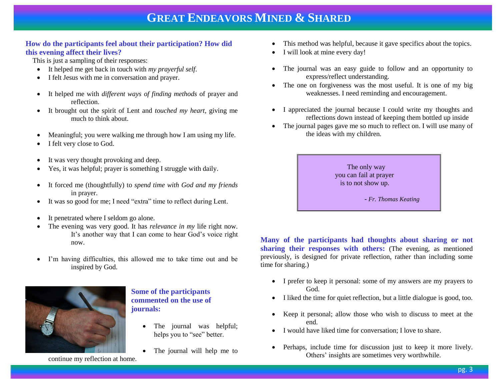### **How do the participants feel about their participation? How did this evening affect their lives?**

This is just a sampling of their responses:

- It helped me get back in touch with *my prayerful self*.
- I felt Jesus with me in conversation and prayer.
- It helped me with *different ways of finding methods* of prayer and reflection.
- It brought out the spirit of Lent and *touched my heart*, giving me much to think about.
- Meaningful; you were walking me through how I am using my life.
- I felt very close to God.
- It was very thought provoking and deep.
- Yes, it was helpful; prayer is something I struggle with daily.
- It forced me (thoughtfully) to *spend time with God and my friends* in prayer.
- It was so good for me; I need "extra" time to reflect during Lent.
- It penetrated where I seldom go alone.
- The evening was very good. It has *relevance in my* life right now. It's another way that I can come to hear God's voice right now.
- I'm having difficulties, this allowed me to take time out and be inspired by God.



### **Some of the participants commented on the use of journals:**

- The journal was helpful; helps you to "see" better.
- The journal will help me to
- This method was helpful, because it gave specifics about the topics.
- I will look at mine every day!
- The journal was an easy guide to follow and an opportunity to express/reflect understanding.
- The one on forgiveness was the most useful. It is one of my big weaknesses. I need reminding and encouragement.
- I appreciated the journal because I could write my thoughts and reflections down instead of keeping them bottled up inside
- The journal pages gave me so much to reflect on. I will use many of the ideas with my children.



**Many of the participants had thoughts about sharing or not sharing their responses with others:** (The evening, as mentioned previously, is designed for private reflection, rather than including some time for sharing.)

- I prefer to keep it personal: some of my answers are my prayers to God.
- I liked the time for quiet reflection, but a little dialogue is good, too.
- Keep it personal; allow those who wish to discuss to meet at the end.
- I would have liked time for conversation; I love to share.
- Perhaps, include time for discussion just to keep it more lively. Others' insights are sometimes very worthwhile.

continue my reflection at home.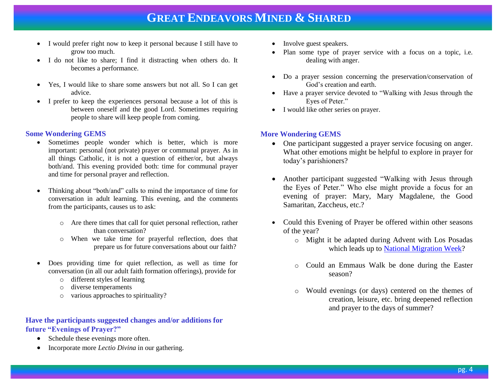- I would prefer right now to keep it personal because I still have to grow too much.
- I do not like to share; I find it distracting when others do. It becomes a performance.
- Yes, I would like to share some answers but not all. So I can get advice.
- I prefer to keep the experiences personal because a lot of this is between oneself and the good Lord. Sometimes requiring people to share will keep people from coming.

### **Some Wondering GEMS**

- Sometimes people wonder which is better, which is more important: personal (not private) prayer or communal prayer. As in all things Catholic, it is not a question of either/or, but always both/and. This evening provided both: time for communal prayer and time for personal prayer and reflection.
- Thinking about "both/and" calls to mind the importance of time for conversation in adult learning. This evening, and the comments from the participants, causes us to ask:
	- o Are there times that call for quiet personal reflection, rather than conversation?
	- o When we take time for prayerful reflection, does that prepare us for future conversations about our faith?
- Does providing time for quiet reflection, as well as time for conversation (in all our adult faith formation offerings), provide for
	- o different styles of learning
	- o diverse temperaments
	- o various approaches to spirituality?

### **Have the participants suggested changes and/or additions for future "Evenings of Prayer?"**

- Schedule these evenings more often.
- Incorporate more *Lectio Divina* in our gathering.
- Involve guest speakers.
- Plan some type of prayer service with a focus on a topic, i.e. dealing with anger.
- Do a prayer session concerning the preservation/conservation of God's creation and earth.
- Have a prayer service devoted to "Walking with Jesus through the Eyes of Peter."
- I would like other series on prayer.

## **More Wondering GEMS**

- One participant suggested a prayer service focusing on anger. What other emotions might be helpful to explore in prayer for today's parishioners?
- Another participant suggested "Walking with Jesus through the Eyes of Peter." Who else might provide a focus for an evening of prayer: Mary, Mary Magdalene, the Good Samaritan, Zaccheus, etc.?
- Could this Evening of Prayer be offered within other seasons of the year?
	- o Might it be adapted during Advent with Los Posadas which leads up to [National Migration Week?](http://usccb.org/about/migration-and-refugee-services/national-migration-week/)
	- o Could an Emmaus Walk be done during the Easter season?
	- o Would evenings (or days) centered on the themes of creation, leisure, etc. bring deepened reflection and prayer to the days of summer?